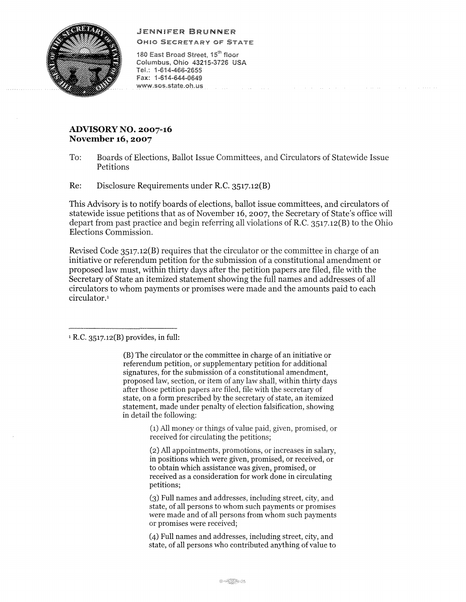## .JENNIFER BRUNNER



OH!O SECRETARY OF STATE

180 East Broad Street, 15<sup>th</sup> floor Columbus, Ohio 43215-3726 USA TeL: 1 ·614-466-2655 Fax: 1·614-644-0649 www.sos.state.oh.us and the company of the

## **ADVISORY NO. 2007-16 November 16, 2007**

To: Boards of Elections, Ballot Issue Committees, and Circulators of Statevvide Issue Petitions

ing para and an

Re: Disclosure Requirements under R.C. 3517.12(B)

This Advisory is to notify boards of elections, ballot issue committees, and circulators of statewide issue petitions that as of November 16, 2007, the Secretary of State's office will depart from past practice and begin referring all violations of R.C. 3517.12(B) to the Ohio Elections Commission.

Revised Code 3517.12(B) requires that the circulator or the committee in charge of an initiative or referendum petition for the submission of a constitutional amendment or proposed law must, within thirty days after the petition papers are filed, file with the Secretary of State an itemized statement showing the foll names and addresses of all circulators to whom payments or promises were made and the amounts paid to each circulator.<sup>1</sup>

<sup>1</sup>**R.C.** 3517.12(8) provides, **in** full:

(B) The circulator or the committee in charge of an initiative or referendum petition, or supplementary petition for additional signatures, for the submission of a constitutional amendment, proposed law, section, or item of any law shall, within thirty days after those petition papers are filed, file with the secretary of state, on a form prescribed by the secretary of state, an itemized statement, made under penalty of election falsification, showing in detail the following:

> (1) All money or things of value paid, given, promised, or received for circulating the petitions;

> (2) All appointments, promotions, or increases in salary, in positions which were given, promised, or received, or to obtain which assistance was given, promised, or received as a consideration for work done in circulating petitions;

> (3) Full names and addresses, including street, city, and state, of all persons to whom such payments or promises were made and of all persons from whom such payments or promises were received;

> (4) Full names and addresses, including street, city, and state, of all persons who contributed anything of value to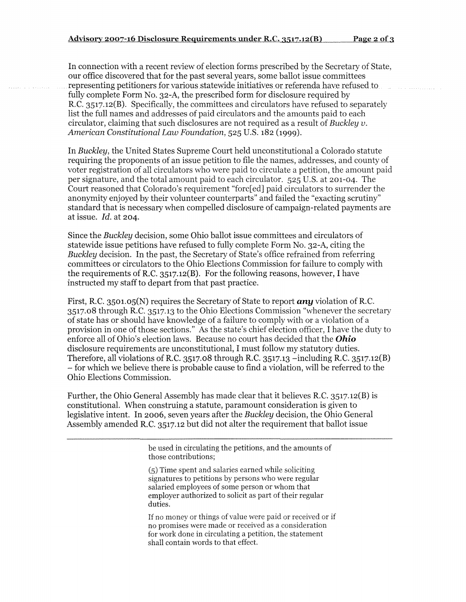In connection with a recent review of election forms prescribed by the Secretary of State, our office discovered that for the past several years, some ballot issue committees representing petitioners for various statewide initiatives or referenda have refused to<br>fully complete Form No. 32-A, the prescribed form for disclosure required by RC. 3517.12(B). Specifically, the committees and circulators have refused to separately list the full names and addresses of paid circulators and the amounts paid to each circulator, claiming that such disclosures are not required as a result of *Buckley v. American Constitutional Law Foundation,* 525 U.S. 182 (1999).

In *Buckley,* the United States Supreme Court held unconstitutional a Colorado statute requiring the proponents of an issue petition to file the names, addresses, and county of voter registration of all circulators who were paid to circulate a petition, the amount paid per signature, and the total amount paid to each circulator. 525 U.S. at 201-04. The Court reasoned that Colorado's requirement "forc[ed] paid circulators to surrender the anonymity enjoyed by their volunteer counterparts" and failed the "exacting scrutiny" standard that is necessary when compelled disclosure of campaign-related payments are at issue. *Id.* at 204.

Since the *Buckley* decision, some Ohio ballot issue committees and circulators of statewide issue petitions have refused to fully complete Form No. 32-A, citing the *Buckley* decision. In the past, the Secretary of State's office refrained from referring committees or circulators to the Ohio Elections Commission for failure to comply with the requirements of R.C.  $3517.12(B)$ . For the following reasons, however, I have instructed my staff to depart from that past practice.

First, R.C. 3501.05(N) requires the Secretary of State to report *any* violation of R.C. 3517.08 through RC. 3517.13 to the Ohio Elections Commission "whenever the secretary of state has or should have knowledge of a failure to comply with or a violation of a provision in one of those sections." As the state's chief election officer, I have the duty to enforce all of Ohio's election laws. Because no court has decided that the **Ohio**  disclosure requirements are unconstitutional, I must follow my statutory duties. Therefore, all violations of R.C. 3517.08 through R.C. 3517.13 -including R.C. 3517.12(B)  $-$  for which we believe there is probable cause to find a violation, will be referred to the Ohio Elections Commission.

Further, the Ohio General Assembly has made clear that it believes R.C. 3517.12(B) is constitutional. When construing a statute, paramount consideration is given to legislative intent. In 2006, seven years after the *Buckley* decision, the Ohio General Assembly amended R.C. 3517.12 but did not alter the requirement that ballot issue

> be used in circulating the petitions, and the amounts of those contributions;

(5) Time spent and salaries earned while soliciting signatures to petitions by persons who were regular salaried employees of some person or whom that employer authorized to solicit as part of their regular duties.

If no money or things of value were paid or received or if no promises were made or received as a consideration for work done in circulating a petition, the statement shall contain words to that effect.